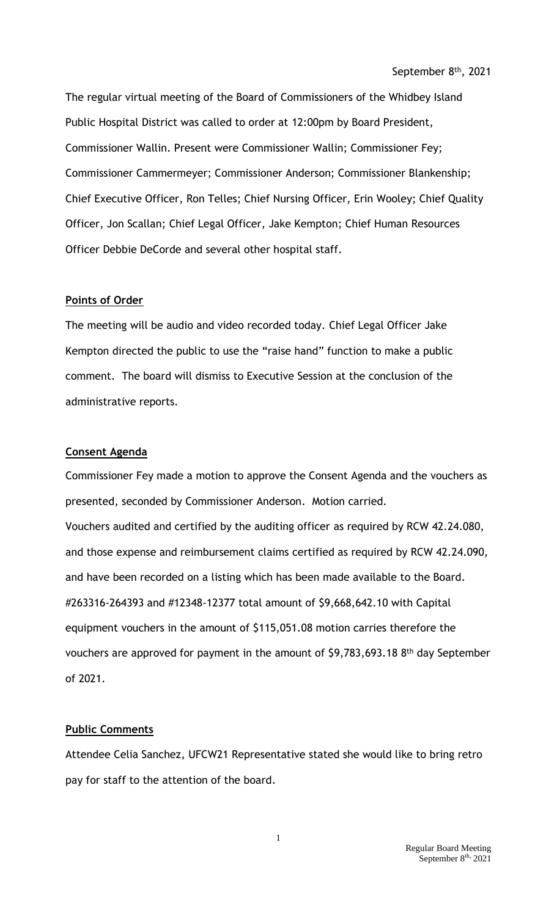The regular virtual meeting of the Board of Commissioners of the Whidbey Island Public Hospital District was called to order at 12:00pm by Board President, Commissioner Wallin. Present were Commissioner Wallin; Commissioner Fey; Commissioner Cammermeyer; Commissioner Anderson; Commissioner Blankenship; Chief Executive Officer, Ron Telles; Chief Nursing Officer, Erin Wooley; Chief Quality Officer, Jon Scallan; Chief Legal Officer, Jake Kempton; Chief Human Resources Officer Debbie DeCorde and several other hospital staff.

## **Points of Order**

The meeting will be audio and video recorded today. Chief Legal Officer Jake Kempton directed the public to use the "raise hand" function to make a public comment. The board will dismiss to Executive Session at the conclusion of the administrative reports.

## **Consent Agenda**

Commissioner Fey made a motion to approve the Consent Agenda and the vouchers as presented, seconded by Commissioner Anderson. Motion carried. Vouchers audited and certified by the auditing officer as required by RCW 42.24.080, and those expense and reimbursement claims certified as required by RCW 42.24.090, and have been recorded on a listing which has been made available to the Board. #263316-264393 and #12348-12377 total amount of \$9,668,642.10 with Capital equipment vouchers in the amount of \$115,051.08 motion carries therefore the vouchers are approved for payment in the amount of \$9,783,693.18 8<sup>th</sup> day September of 2021.

## **Public Comments**

Attendee Celia Sanchez, UFCW21 Representative stated she would like to bring retro pay for staff to the attention of the board.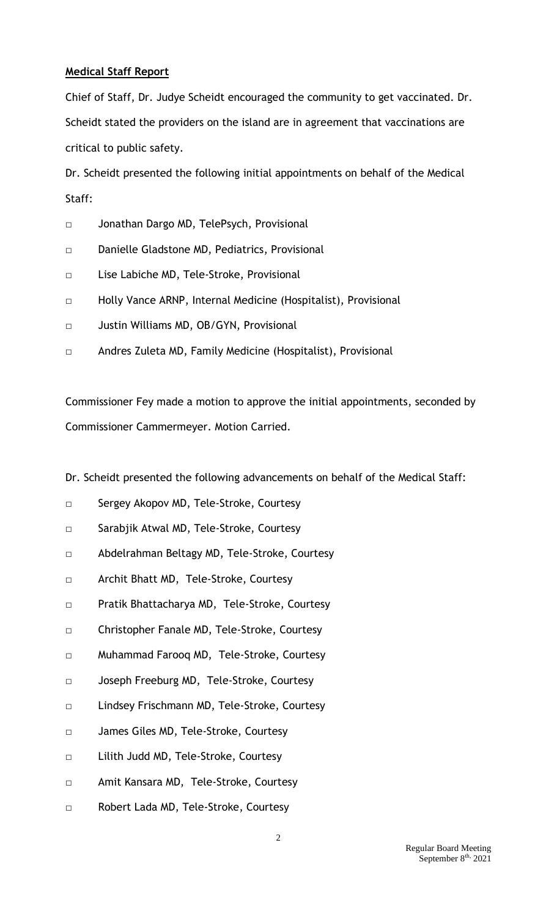## **Medical Staff Report**

Chief of Staff, Dr. Judye Scheidt encouraged the community to get vaccinated. Dr. Scheidt stated the providers on the island are in agreement that vaccinations are critical to public safety.

Dr. Scheidt presented the following initial appointments on behalf of the Medical Staff:

- □ Jonathan Dargo MD, TelePsych, Provisional
- □ Danielle Gladstone MD, Pediatrics, Provisional
- □ Lise Labiche MD, Tele-Stroke, Provisional
- □ Holly Vance ARNP, Internal Medicine (Hospitalist), Provisional
- □ Justin Williams MD, OB/GYN, Provisional
- □ Andres Zuleta MD, Family Medicine (Hospitalist), Provisional

Commissioner Fey made a motion to approve the initial appointments, seconded by Commissioner Cammermeyer. Motion Carried.

Dr. Scheidt presented the following advancements on behalf of the Medical Staff:

- □ Sergey Akopov MD, Tele-Stroke, Courtesy
- □ Sarabjik Atwal MD, Tele-Stroke, Courtesy
- □ Abdelrahman Beltagy MD, Tele-Stroke, Courtesy
- □ Archit Bhatt MD, Tele-Stroke, Courtesy
- □ Pratik Bhattacharya MD, Tele-Stroke, Courtesy
- □ Christopher Fanale MD, Tele-Stroke, Courtesy
- □ Muhammad Farooq MD, Tele-Stroke, Courtesy
- □ Joseph Freeburg MD, Tele-Stroke, Courtesy
- □ Lindsey Frischmann MD, Tele-Stroke, Courtesy
- □ James Giles MD, Tele-Stroke, Courtesy
- □ Lilith Judd MD, Tele-Stroke, Courtesy
- □ Amit Kansara MD, Tele-Stroke, Courtesy
- □ Robert Lada MD, Tele-Stroke, Courtesy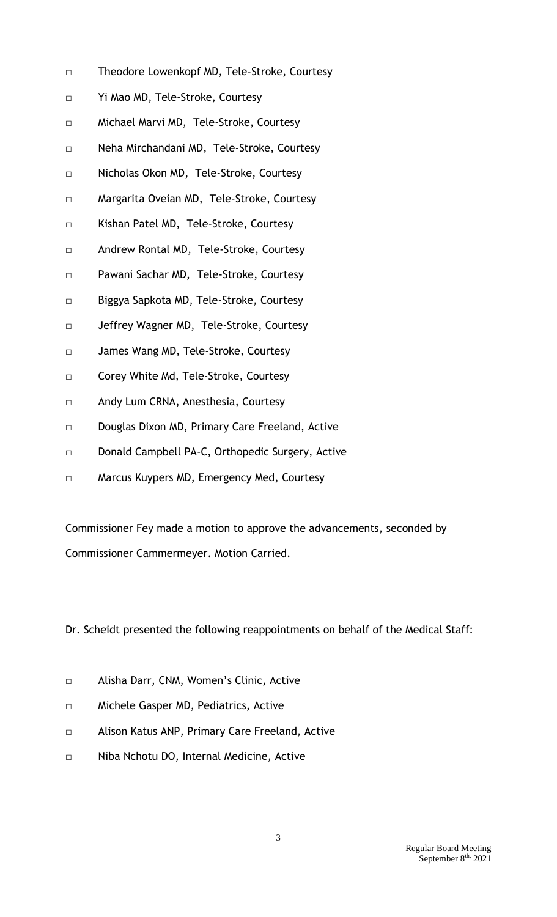- □ Theodore Lowenkopf MD, Tele-Stroke, Courtesy
- □ Yi Mao MD, Tele-Stroke, Courtesy
- □ Michael Marvi MD, Tele-Stroke, Courtesy
- □ Neha Mirchandani MD, Tele-Stroke, Courtesy
- □ Nicholas Okon MD, Tele-Stroke, Courtesy
- □ Margarita Oveian MD, Tele-Stroke, Courtesy
- □ Kishan Patel MD, Tele-Stroke, Courtesy
- □ Andrew Rontal MD, Tele-Stroke, Courtesy
- □ Pawani Sachar MD, Tele-Stroke, Courtesy
- □ Biggya Sapkota MD, Tele-Stroke, Courtesy
- □ Jeffrey Wagner MD, Tele-Stroke, Courtesy
- □ James Wang MD, Tele-Stroke, Courtesy
- □ Corey White Md, Tele-Stroke, Courtesy
- □ Andy Lum CRNA, Anesthesia, Courtesy
- □ Douglas Dixon MD, Primary Care Freeland, Active
- □ Donald Campbell PA-C, Orthopedic Surgery, Active
- □ Marcus Kuypers MD, Emergency Med, Courtesy

Commissioner Fey made a motion to approve the advancements, seconded by Commissioner Cammermeyer. Motion Carried.

Dr. Scheidt presented the following reappointments on behalf of the Medical Staff:

- □ Alisha Darr, CNM, Women's Clinic, Active
- □ Michele Gasper MD, Pediatrics, Active
- □ Alison Katus ANP, Primary Care Freeland, Active
- □ Niba Nchotu DO, Internal Medicine, Active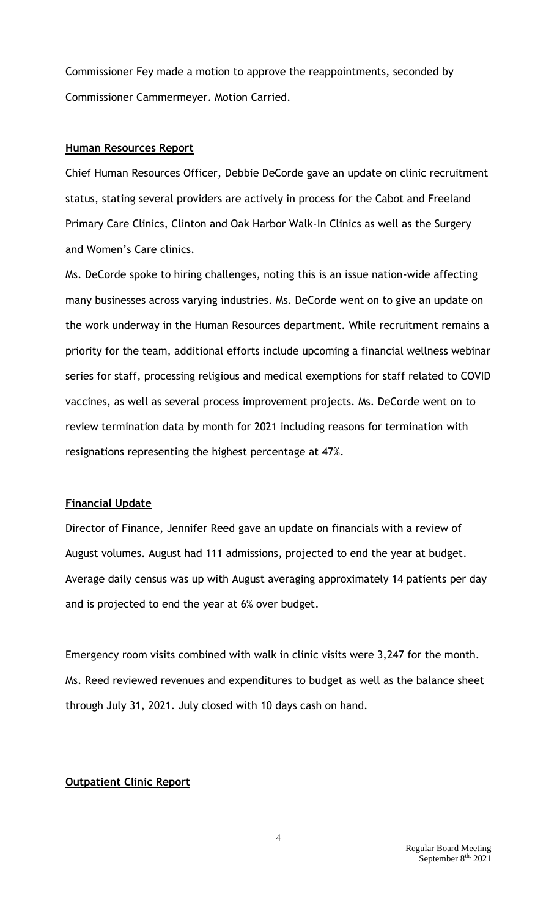Commissioner Fey made a motion to approve the reappointments, seconded by Commissioner Cammermeyer. Motion Carried.

#### **Human Resources Report**

Chief Human Resources Officer, Debbie DeCorde gave an update on clinic recruitment status, stating several providers are actively in process for the Cabot and Freeland Primary Care Clinics, Clinton and Oak Harbor Walk-In Clinics as well as the Surgery and Women's Care clinics.

Ms. DeCorde spoke to hiring challenges, noting this is an issue nation-wide affecting many businesses across varying industries. Ms. DeCorde went on to give an update on the work underway in the Human Resources department. While recruitment remains a priority for the team, additional efforts include upcoming a financial wellness webinar series for staff, processing religious and medical exemptions for staff related to COVID vaccines, as well as several process improvement projects. Ms. DeCorde went on to review termination data by month for 2021 including reasons for termination with resignations representing the highest percentage at 47%.

## **Financial Update**

Director of Finance, Jennifer Reed gave an update on financials with a review of August volumes. August had 111 admissions, projected to end the year at budget. Average daily census was up with August averaging approximately 14 patients per day and is projected to end the year at 6% over budget.

Emergency room visits combined with walk in clinic visits were 3,247 for the month. Ms. Reed reviewed revenues and expenditures to budget as well as the balance sheet through July 31, 2021. July closed with 10 days cash on hand.

## **Outpatient Clinic Report**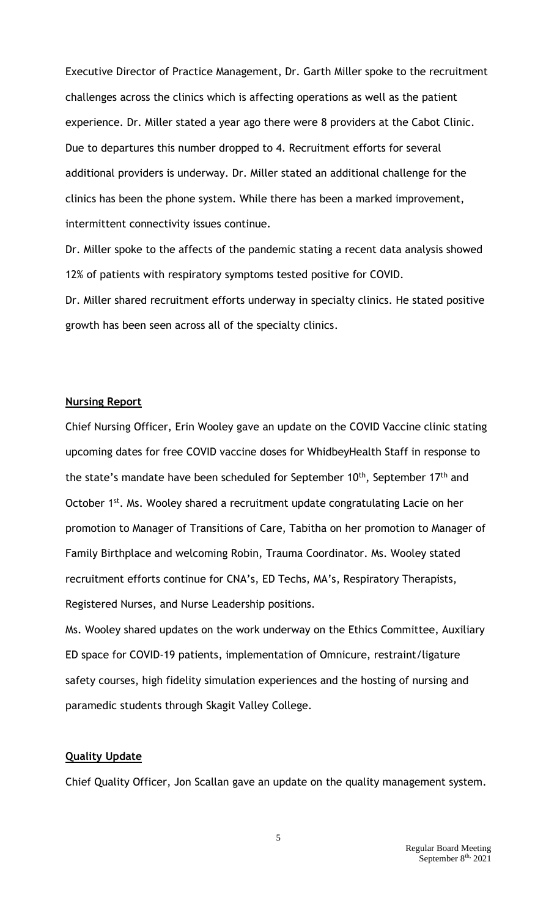Executive Director of Practice Management, Dr. Garth Miller spoke to the recruitment challenges across the clinics which is affecting operations as well as the patient experience. Dr. Miller stated a year ago there were 8 providers at the Cabot Clinic. Due to departures this number dropped to 4. Recruitment efforts for several additional providers is underway. Dr. Miller stated an additional challenge for the clinics has been the phone system. While there has been a marked improvement, intermittent connectivity issues continue.

Dr. Miller spoke to the affects of the pandemic stating a recent data analysis showed 12% of patients with respiratory symptoms tested positive for COVID.

Dr. Miller shared recruitment efforts underway in specialty clinics. He stated positive growth has been seen across all of the specialty clinics.

### **Nursing Report**

Chief Nursing Officer, Erin Wooley gave an update on the COVID Vaccine clinic stating upcoming dates for free COVID vaccine doses for WhidbeyHealth Staff in response to the state's mandate have been scheduled for September 10<sup>th</sup>, September 17<sup>th</sup> and October 1<sup>st</sup>. Ms. Wooley shared a recruitment update congratulating Lacie on her promotion to Manager of Transitions of Care, Tabitha on her promotion to Manager of Family Birthplace and welcoming Robin, Trauma Coordinator. Ms. Wooley stated recruitment efforts continue for CNA's, ED Techs, MA's, Respiratory Therapists, Registered Nurses, and Nurse Leadership positions.

Ms. Wooley shared updates on the work underway on the Ethics Committee, Auxiliary ED space for COVID-19 patients, implementation of Omnicure, restraint/ligature safety courses, high fidelity simulation experiences and the hosting of nursing and paramedic students through Skagit Valley College.

#### **Quality Update**

Chief Quality Officer, Jon Scallan gave an update on the quality management system.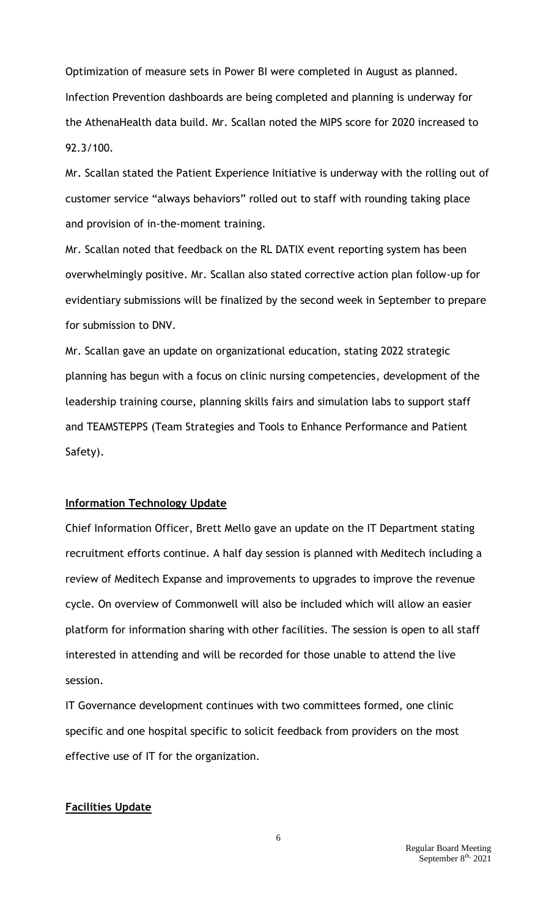Optimization of measure sets in Power BI were completed in August as planned. Infection Prevention dashboards are being completed and planning is underway for the AthenaHealth data build. Mr. Scallan noted the MIPS score for 2020 increased to 92.3/100.

Mr. Scallan stated the Patient Experience Initiative is underway with the rolling out of customer service "always behaviors" rolled out to staff with rounding taking place and provision of in-the-moment training.

Mr. Scallan noted that feedback on the RL DATIX event reporting system has been overwhelmingly positive. Mr. Scallan also stated corrective action plan follow-up for evidentiary submissions will be finalized by the second week in September to prepare for submission to DNV.

Mr. Scallan gave an update on organizational education, stating 2022 strategic planning has begun with a focus on clinic nursing competencies, development of the leadership training course, planning skills fairs and simulation labs to support staff and TEAMSTEPPS (Team Strategies and Tools to Enhance Performance and Patient Safety).

## **Information Technology Update**

Chief Information Officer, Brett Mello gave an update on the IT Department stating recruitment efforts continue. A half day session is planned with Meditech including a review of Meditech Expanse and improvements to upgrades to improve the revenue cycle. On overview of Commonwell will also be included which will allow an easier platform for information sharing with other facilities. The session is open to all staff interested in attending and will be recorded for those unable to attend the live session.

IT Governance development continues with two committees formed, one clinic specific and one hospital specific to solicit feedback from providers on the most effective use of IT for the organization.

## **Facilities Update**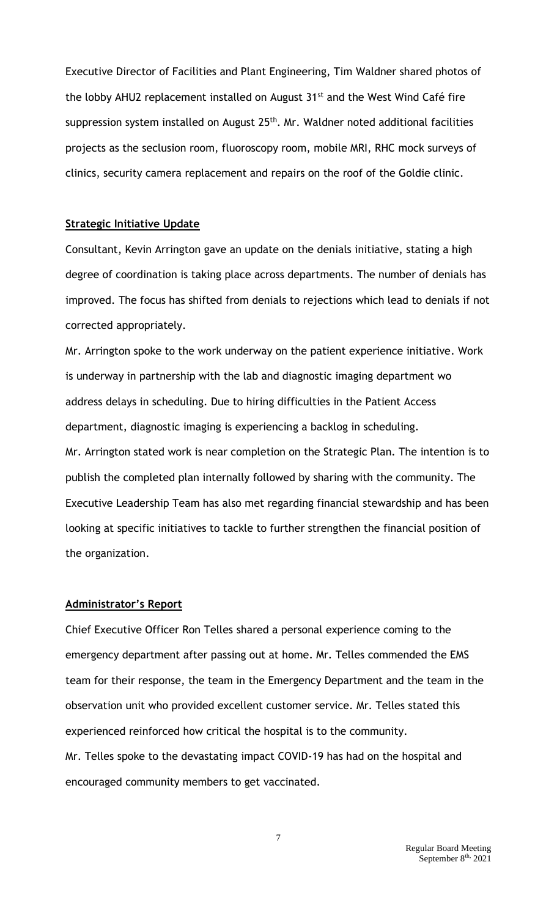Executive Director of Facilities and Plant Engineering, Tim Waldner shared photos of the lobby AHU2 replacement installed on August 31<sup>st</sup> and the West Wind Café fire suppression system installed on August 25<sup>th</sup>. Mr. Waldner noted additional facilities projects as the seclusion room, fluoroscopy room, mobile MRI, RHC mock surveys of clinics, security camera replacement and repairs on the roof of the Goldie clinic.

### **Strategic Initiative Update**

Consultant, Kevin Arrington gave an update on the denials initiative, stating a high degree of coordination is taking place across departments. The number of denials has improved. The focus has shifted from denials to rejections which lead to denials if not corrected appropriately.

Mr. Arrington spoke to the work underway on the patient experience initiative. Work is underway in partnership with the lab and diagnostic imaging department wo address delays in scheduling. Due to hiring difficulties in the Patient Access department, diagnostic imaging is experiencing a backlog in scheduling. Mr. Arrington stated work is near completion on the Strategic Plan. The intention is to publish the completed plan internally followed by sharing with the community. The Executive Leadership Team has also met regarding financial stewardship and has been looking at specific initiatives to tackle to further strengthen the financial position of the organization.

#### **Administrator's Report**

Chief Executive Officer Ron Telles shared a personal experience coming to the emergency department after passing out at home. Mr. Telles commended the EMS team for their response, the team in the Emergency Department and the team in the observation unit who provided excellent customer service. Mr. Telles stated this experienced reinforced how critical the hospital is to the community. Mr. Telles spoke to the devastating impact COVID-19 has had on the hospital and encouraged community members to get vaccinated.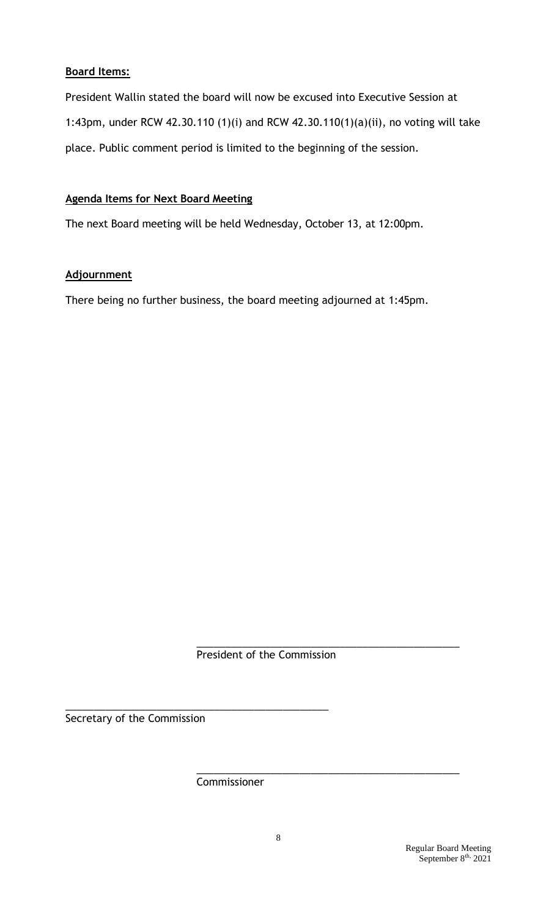# **Board Items:**

President Wallin stated the board will now be excused into Executive Session at 1:43pm, under RCW 42.30.110 (1)(i) and RCW 42.30.110(1)(a)(ii), no voting will take place. Public comment period is limited to the beginning of the session.

# **Agenda Items for Next Board Meeting**

The next Board meeting will be held Wednesday, October 13, at 12:00pm.

# **Adjournment**

There being no further business, the board meeting adjourned at 1:45pm.

President of the Commission

\_\_\_\_\_\_\_\_\_\_\_\_\_\_\_\_\_\_\_\_\_\_\_\_\_\_\_\_\_\_\_\_\_\_\_\_\_\_\_\_\_\_\_\_\_\_

\_\_\_\_\_\_\_\_\_\_\_\_\_\_\_\_\_\_\_\_\_\_\_\_\_\_\_\_\_\_\_\_\_\_\_\_\_\_\_\_\_\_\_\_\_\_

Secretary of the Commission

Commissioner

\_\_\_\_\_\_\_\_\_\_\_\_\_\_\_\_\_\_\_\_\_\_\_\_\_\_\_\_\_\_\_\_\_\_\_\_\_\_\_\_\_\_\_\_\_\_